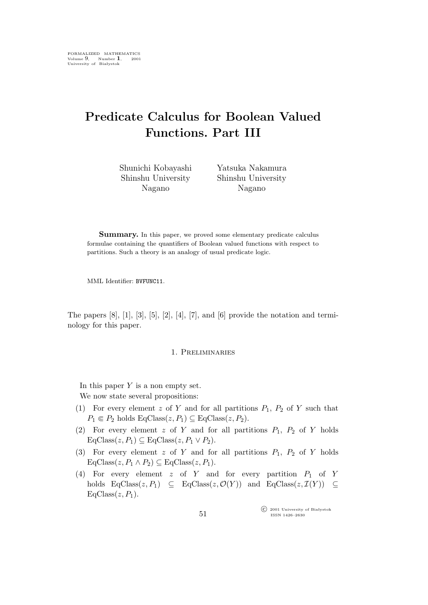# **Predicate Calculus for Boolean Valued Functions. Part III**

Shunichi Kobayashi Shinshu University Nagano

Yatsuka Nakamura Shinshu University Nagano

Summary. In this paper, we proved some elementary predicate calculus formulae containing the quantifiers of Boolean valued functions with respect to partitions. Such a theory is an analogy of usual predicate logic.

MML Identifier: BVFUNC11.

The papers  $[8]$ ,  $[1]$ ,  $[3]$ ,  $[5]$ ,  $[2]$ ,  $[4]$ ,  $[7]$ , and  $[6]$  provide the notation and terminology for this paper.

### 1. Preliminaries

In this paper  $Y$  is a non empty set. We now state several propositions:

- (1) For every element z of Y and for all partitions  $P_1$ ,  $P_2$  of Y such that  $P_1 \in P_2$  holds  $\text{EqClass}(z, P_1) \subseteq \text{EqClass}(z, P_2)$ .
- (2) For every element z of Y and for all partitions  $P_1$ ,  $P_2$  of Y holds  $EqClass(z, P_1) \subseteq EqClass(z, P_1 \vee P_2).$
- (3) For every element z of Y and for all partitions  $P_1$ ,  $P_2$  of Y holds  $EqClass(z, P_1 \wedge P_2) \subseteq EqClass(z, P_1).$
- (4) For every element  $z$  of  $Y$  and for every partition  $P_1$  of  $Y$ holds  $EqClass(z, P_1) \subseteq EqClass(z, \mathcal{O}(Y))$  and  $EqClass(z, \mathcal{I}(Y)) \subseteq$  $EqClass(z, P_1)$ .

°c 2001 University of Białystok ISSN 1426–2630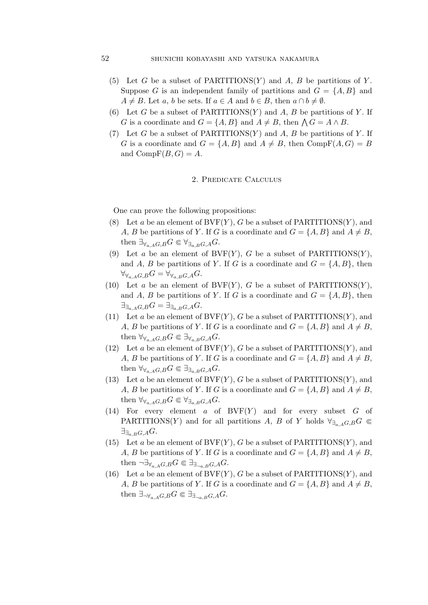## 52 shunichi kobayashi and yatsuka nakamura

- (5) Let G be a subset of PARTITIONS $(Y)$  and A, B be partitions of Y. Suppose G is an independent family of partitions and  $G = \{A, B\}$  and  $A \neq B$ . Let a, b be sets. If  $a \in A$  and  $b \in B$ , then  $a \cap b \neq \emptyset$ .
- (6) Let G be a subset of PARTITIONS $(Y)$  and A, B be partitions of Y. If G is a coordinate and  $G = \{A, B\}$  and  $A \neq B$ , then  $\bigwedge G = A \wedge B$ .
- (7) Let G be a subset of PARTITIONS $(Y)$  and A, B be partitions of Y. If G is a coordinate and  $G = \{A, B\}$  and  $A \neq B$ , then Comp $F(A, G) = B$ and  $CompF(B, G) = A$ .

## 2. Predicate Calculus

One can prove the following propositions:

- (8) Let a be an element of  $BVF(Y)$ , G be a subset of PARTITIONS $(Y)$ , and A, B be partitions of Y. If G is a coordinate and  $G = \{A, B\}$  and  $A \neq B$ , then  $\exists_{\forall_{a} A} G, B G \in \forall_{\exists_{a} B} G, A G$ .
- (9) Let a be an element of  $BVF(Y)$ , G be a subset of PARTITIONS $(Y)$ , and A, B be partitions of Y. If G is a coordinate and  $G = \{A, B\}$ , then  $\forall \forall a, A G, B G = \forall \forall a, B G, A G.$
- (10) Let a be an element of  $BVF(Y)$ , G be a subset of PARTITIONS(Y), and A, B be partitions of Y. If G is a coordinate and  $G = \{A, B\}$ , then  $\exists$ <sup>∃</sup> $\exists$ <sup>a</sup>, AG,B</sub>G =  $\exists$ <sup>∃</sup> $\exists$ <sup>a</sup>, B<sub>G</sub>,A</sub>G.
- (11) Let a be an element of  $BVF(Y)$ , G be a subset of PARTITIONS $(Y)$ , and A, B be partitions of Y. If G is a coordinate and  $G = \{A, B\}$  and  $A \neq B$ , then  $\forall \forall_{a,A} G, B} G \in \exists \forall_{a,B} G, A} G$ .
- (12) Let a be an element of  $BVF(Y)$ , G be a subset of PARTITIONS $(Y)$ , and A, B be partitions of Y. If G is a coordinate and  $G = \{A, B\}$  and  $A \neq B$ , then  $\forall \forall a, A, G, B$  $G \in \exists \exists a, B, G, A$ .
- (13) Let a be an element of  $BVF(Y)$ , G be a subset of PARTITIONS $(Y)$ , and A, B be partitions of Y. If G is a coordinate and  $G = \{A, B\}$  and  $A \neq B$ , then  $\forall \forall a, A, G, B$  $G \in \forall \exists a, B, G, A$ .
- (14) For every element  $a$  of  $BVF(Y)$  and for every subset  $G$  of PARTITIONS(Y) and for all partitions A, B of Y holds  $\forall \exists a \in G \mathbb{G}$ *∃∃*a,BG,AG.
- (15) Let a be an element of  $BVF(Y)$ , G be a subset of PARTITIONS $(Y)$ , and A, B be partitions of Y. If G is a coordinate and  $G = \{A, B\}$  and  $A \neq B$ , then  $\neg \exists \forall_{a,A} G, B} G \in \exists_{\exists_{\neg a,B} G, A} G$ .
- (16) Let a be an element of  $BVF(Y)$ , G be a subset of PARTITIONS $(Y)$ , and A, B be partitions of Y. If G is a coordinate and  $G = \{A, B\}$  and  $A \neq B$ , then  $\exists_{\neg \forall_{a,A}G,B}G \in \exists_{\exists_{\neg a,B}G,A}G.$